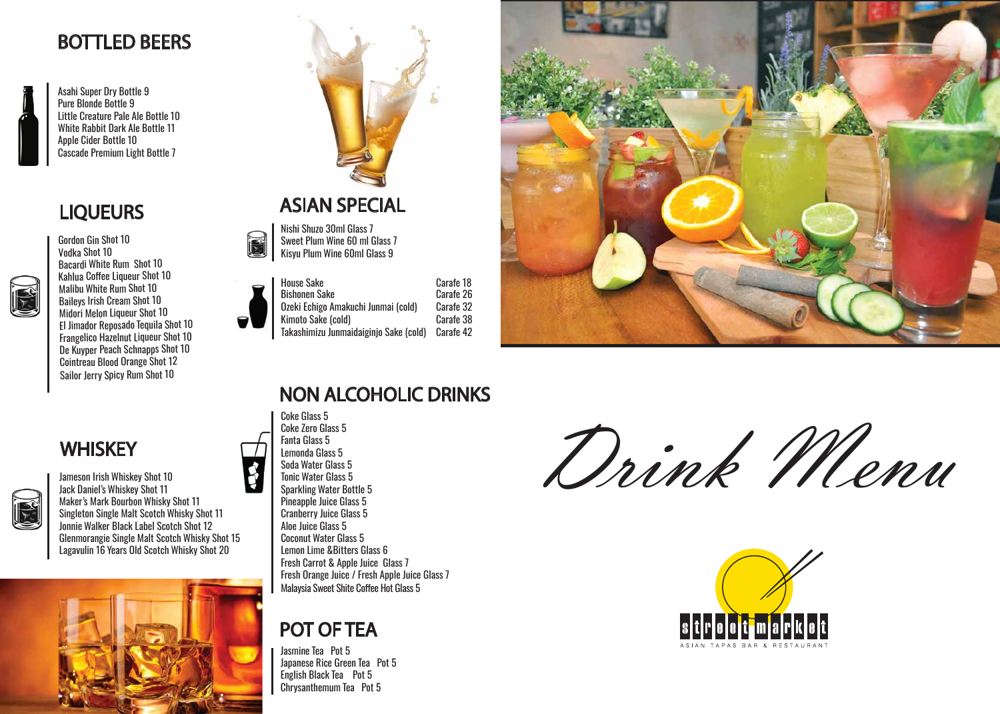





# **BOTTLED BEERS**





# **ASIAN SPECIAL**

# **NON ALCOHOLIC DRINKS**

# **LIQUEURS**



Asahi Super Dry Bottle 9 Pure Blonde Bottle 9 Little Creature Pale Ale Bottle 10 White Rabbit Dark Ale Bottle 11 Apple Cider Bottle 10 Cascade Premium Light Bottle 7

 Kahlua Coffee Liqueur Shot 10 Baileys Irish Cream Shot 10 Gordon Gin Shot 10 Vodka Shot 10 Bacardi White Rum Shot 10 Malibu White Rum Shot 10 Midori Melon Liqueur Shot 10 El Jimador Reposado Tequila Shot 10 Frangelico Hazelnut Liqueur Shot 10 De Kuyper Peach Schnapps Shot 10 Cointreau Blood Orange Shot 12 Sailor Jerry Spicy Rum Shot 10



# **POT OF TEA**

Nishi Shuzo 30ml Glass 7 Sweet Plum Wine 60 ml Glass 7 Kisyu Plum Wine 60ml Glass 9

| Bishonen Sake<br>Ozeki Echigo Ar<br>Kimoto Sake (c |
|----------------------------------------------------|
| Takashimizu Jur                                    |
|                                                    |

NO.

Amakuchi Junmai (cold) (cold) Carafe 38 Junmaidaiginjo Sake (cold) Carafe 42 Carafe 26 Carafe 32 Carafe 18



Coke Glass 5 Coke Zero Glass 5 Fanta Glass 5 Lemonda Glass 5 Soda Water Glass 5 Tonic Water Glass 5 Sparkling Water Bottle 5 Pineapple Juice Glass 5 Cranberry Juice Glass 5 Aloe Juice Glass 5 Coconut Water Glass 5 Lemon Lime &Bitters Glass 6 Fresh Carrot & Apple Juice Glass 7 Fresh Orange Juice / Fresh Apple Juice Glass 7 Malaysia Sweet Shite Coffee Hot Glass 5

Jasmine Tea Pot 5 Japanese Rice Green Tea Pot 5 English Black Tea Pot 5 Chrysanthemum Tea Pot 5

Jameson Irish Whiskey Shot 10 Jack Daniel's Whiskey Shot 11 Maker's Mark Bourbon Whisky Shot 11 Singleton Single Malt Scotch Whisky Shot 11 Jonnie Walker Black Label Scotch Shot 12 Glenmorangie Single Malt Scotch Whisky Shot 15 Lagavulin 16 Years Old Scotch Whisky Shot 20